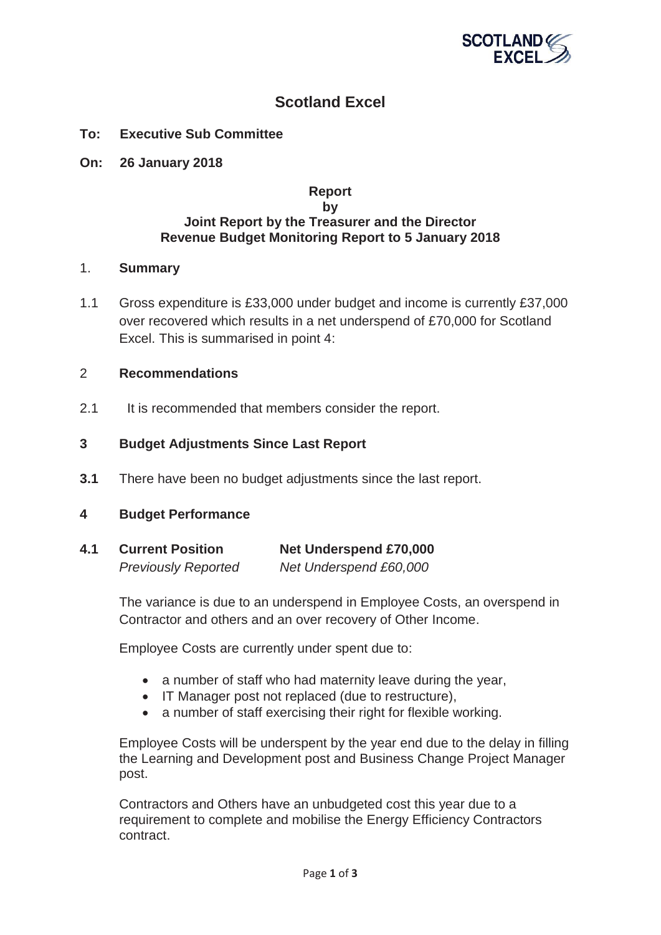

# **Scotland Excel**

- **To: Executive Sub Committee**
- **On: 26 January 2018**

## **Report by Joint Report by the Treasurer and the Director Revenue Budget Monitoring Report to 5 January 2018**

#### 1. **Summary**

1.1 Gross expenditure is £33,000 under budget and income is currently £37,000 over recovered which results in a net underspend of £70,000 for Scotland Excel. This is summarised in point 4:

## 2 **Recommendations**

2.1 It is recommended that members consider the report.

## **3 Budget Adjustments Since Last Report**

**3.1** There have been no budget adjustments since the last report.

#### **4 Budget Performance**

| 4.1 | <b>Current Position</b>    | <b>Net Underspend £70,000</b> |
|-----|----------------------------|-------------------------------|
|     | <b>Previously Reported</b> | Net Underspend £60,000        |

The variance is due to an underspend in Employee Costs, an overspend in Contractor and others and an over recovery of Other Income.

Employee Costs are currently under spent due to:

- $\bullet$  a number of staff who had maternity leave during the year,
- IT Manager post not replaced (due to restructure),
- a number of staff exercising their right for flexible working.

Employee Costs will be underspent by the year end due to the delay in filling the Learning and Development post and Business Change Project Manager post.

Contractors and Others have an unbudgeted cost this year due to a requirement to complete and mobilise the Energy Efficiency Contractors contract.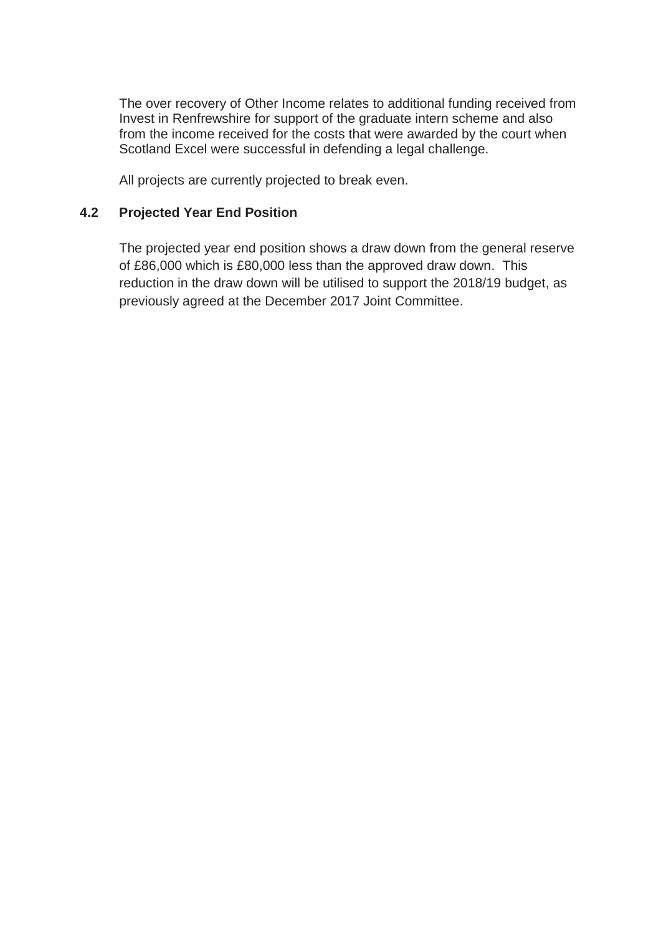The over recovery of Other Income relates to additional funding received from Invest in Renfrewshire for support of the graduate intern scheme and also from the income received for the costs that were awarded by the court when Scotland Excel were successful in defending a legal challenge.

All projects are currently projected to break even.

# **4.2 Projected Year End Position**

The projected year end position shows a draw down from the general reserve of £86,000 which is £80,000 less than the approved draw down. This reduction in the draw down will be utilised to support the 2018/19 budget, as previously agreed at the December 2017 Joint Committee.